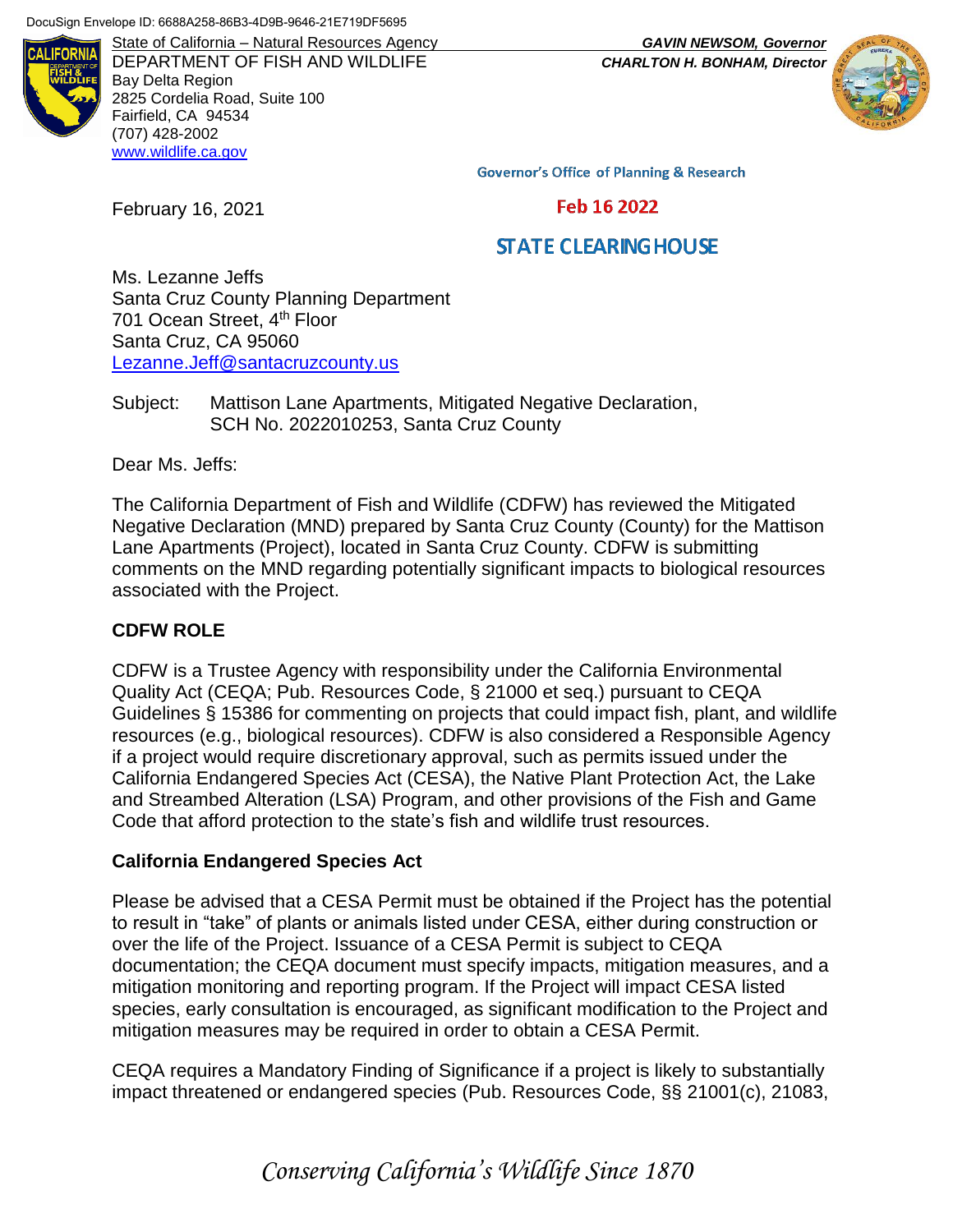

DEPARTMENT OF FISH AND WILDLIFE *CHARLTON H. BONHAM, Director* Bay Delta Region 2825 Cordelia Road, Suite 100 Fairfield, CA 94534 (707) 428-2002 [www.wildlife.ca.gov](http://www.wildlife.ca.gov/)

State of California – Natural Resources Agency *GAVIN NEWSOM, Governor*



**Governor's Office of Planning & Research** 

Feb 16 2022

# **STATE CLEARING HOUSE**

Ms. Lezanne Jeffs Santa Cruz County Planning Department 701 Ocean Street, 4<sup>th</sup> Floor Santa Cruz, CA 95060 [Lezanne.Jeff@santacruzcounty.us](mailto:Lezanne.Jeff@santacruzcounty.us)

Subject: Mattison Lane Apartments, Mitigated Negative Declaration, SCH No. 2022010253, Santa Cruz County

Dear Ms. Jeffs:

February 16, 2021

The California Department of Fish and Wildlife (CDFW) has reviewed the Mitigated Negative Declaration (MND) prepared by Santa Cruz County (County) for the Mattison Lane Apartments (Project), located in Santa Cruz County. CDFW is submitting comments on the MND regarding potentially significant impacts to biological resources associated with the Project.

### **CDFW ROLE**

CDFW is a Trustee Agency with responsibility under the California Environmental Quality Act (CEQA; Pub. Resources Code, § 21000 et seq.) pursuant to CEQA Guidelines § 15386 for commenting on projects that could impact fish, plant, and wildlife resources (e.g., biological resources). CDFW is also considered a Responsible Agency if a project would require discretionary approval, such as permits issued under the California Endangered Species Act (CESA), the Native Plant Protection Act, the Lake and Streambed Alteration (LSA) Program, and other provisions of the Fish and Game Code that afford protection to the state's fish and wildlife trust resources.

#### **California Endangered Species Act**

Please be advised that a CESA Permit must be obtained if the Project has the potential to result in "take" of plants or animals listed under CESA, either during construction or over the life of the Project. Issuance of a CESA Permit is subject to CEQA documentation; the CEQA document must specify impacts, mitigation measures, and a mitigation monitoring and reporting program. If the Project will impact CESA listed species, early consultation is encouraged, as significant modification to the Project and mitigation measures may be required in order to obtain a CESA Permit.

CEQA requires a Mandatory Finding of Significance if a project is likely to substantially impact threatened or endangered species (Pub. Resources Code, §§ 21001(c), 21083,

*Conserving California's Wildlife Since 1870*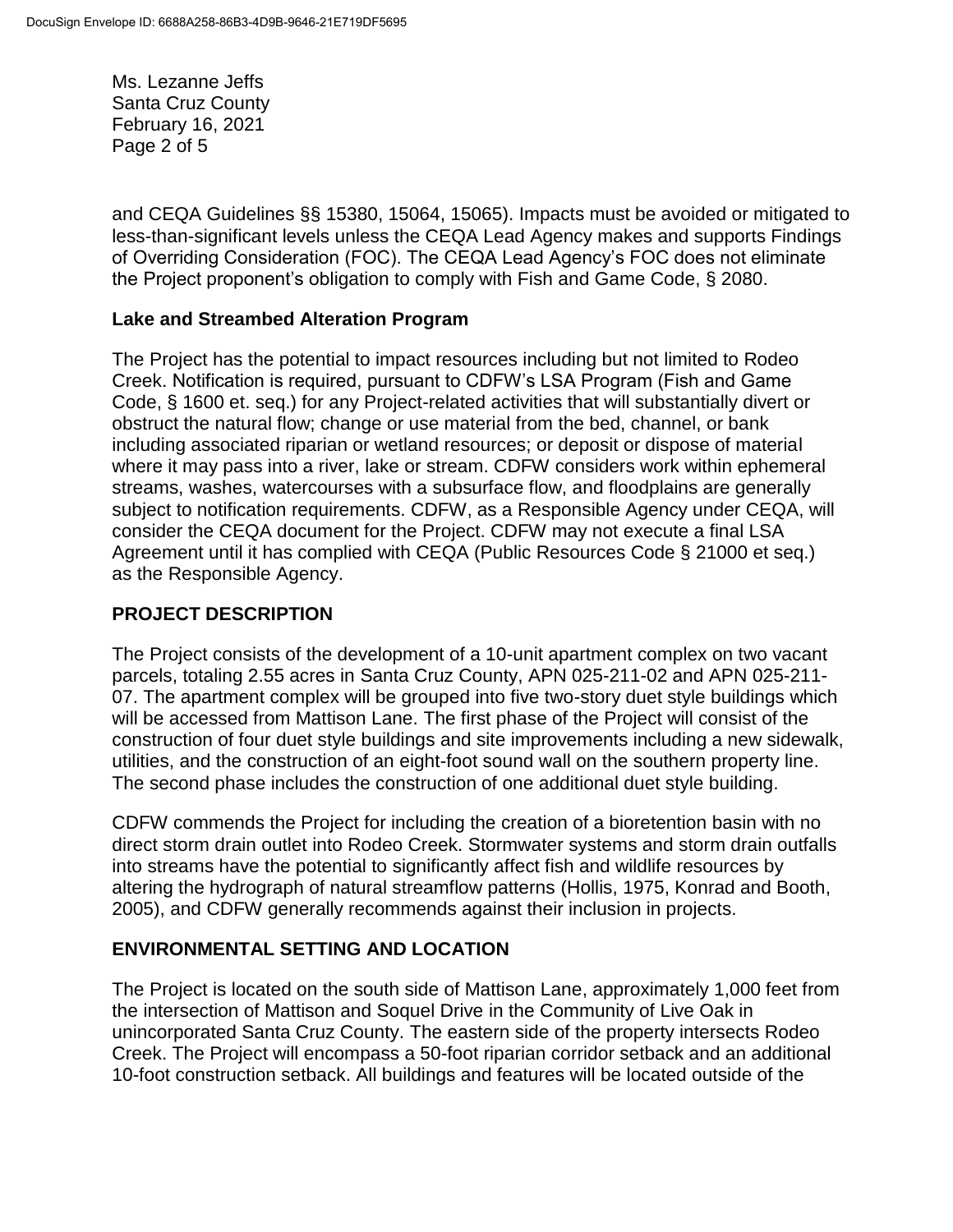Ms. Lezanne Jeffs Santa Cruz County February 16, 2021 Page 2 of 5

and CEQA Guidelines §§ 15380, 15064, 15065). Impacts must be avoided or mitigated to less-than-significant levels unless the CEQA Lead Agency makes and supports Findings of Overriding Consideration (FOC). The CEQA Lead Agency's FOC does not eliminate the Project proponent's obligation to comply with Fish and Game Code, § 2080.

# **Lake and Streambed Alteration Program**

The Project has the potential to impact resources including but not limited to Rodeo Creek. Notification is required, pursuant to CDFW's LSA Program (Fish and Game Code, § 1600 et. seq.) for any Project-related activities that will substantially divert or obstruct the natural flow; change or use material from the bed, channel, or bank including associated riparian or wetland resources; or deposit or dispose of material where it may pass into a river, lake or stream. CDFW considers work within ephemeral streams, washes, watercourses with a subsurface flow, and floodplains are generally subject to notification requirements. CDFW, as a Responsible Agency under CEQA, will consider the CEQA document for the Project. CDFW may not execute a final LSA Agreement until it has complied with CEQA (Public Resources Code § 21000 et seq.) as the Responsible Agency.

# **PROJECT DESCRIPTION**

The Project consists of the development of a 10-unit apartment complex on two vacant parcels, totaling 2.55 acres in Santa Cruz County, APN 025-211-02 and APN 025-211- 07. The apartment complex will be grouped into five two-story duet style buildings which will be accessed from Mattison Lane. The first phase of the Project will consist of the construction of four duet style buildings and site improvements including a new sidewalk, utilities, and the construction of an eight-foot sound wall on the southern property line. The second phase includes the construction of one additional duet style building.

CDFW commends the Project for including the creation of a bioretention basin with no direct storm drain outlet into Rodeo Creek. Stormwater systems and storm drain outfalls into streams have the potential to significantly affect fish and wildlife resources by altering the hydrograph of natural streamflow patterns (Hollis, 1975, Konrad and Booth, 2005), and CDFW generally recommends against their inclusion in projects.

### **ENVIRONMENTAL SETTING AND LOCATION**

The Project is located on the south side of Mattison Lane, approximately 1,000 feet from the intersection of Mattison and Soquel Drive in the Community of Live Oak in unincorporated Santa Cruz County. The eastern side of the property intersects Rodeo Creek. The Project will encompass a 50-foot riparian corridor setback and an additional 10-foot construction setback. All buildings and features will be located outside of the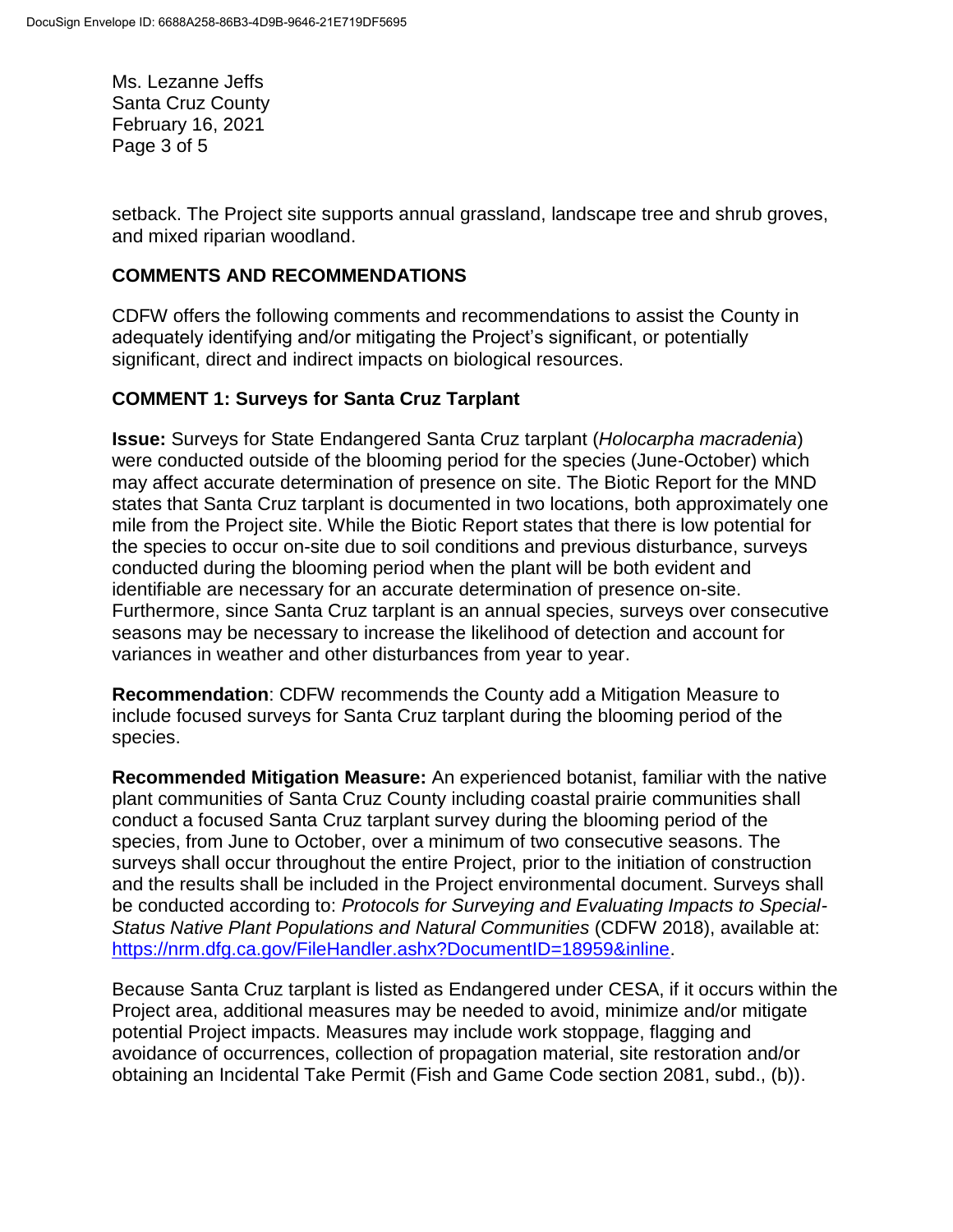Ms. Lezanne Jeffs Santa Cruz County February 16, 2021 Page 3 of 5

setback. The Project site supports annual grassland, landscape tree and shrub groves, and mixed riparian woodland.

### **COMMENTS AND RECOMMENDATIONS**

CDFW offers the following comments and recommendations to assist the County in adequately identifying and/or mitigating the Project's significant, or potentially significant, direct and indirect impacts on biological resources.

#### **COMMENT 1: Surveys for Santa Cruz Tarplant**

**Issue:** Surveys for State Endangered Santa Cruz tarplant (*Holocarpha macradenia*) were conducted outside of the blooming period for the species (June-October) which may affect accurate determination of presence on site. The Biotic Report for the MND states that Santa Cruz tarplant is documented in two locations, both approximately one mile from the Project site. While the Biotic Report states that there is low potential for the species to occur on-site due to soil conditions and previous disturbance, surveys conducted during the blooming period when the plant will be both evident and identifiable are necessary for an accurate determination of presence on-site. Furthermore, since Santa Cruz tarplant is an annual species, surveys over consecutive seasons may be necessary to increase the likelihood of detection and account for variances in weather and other disturbances from year to year.

**Recommendation**: CDFW recommends the County add a Mitigation Measure to include focused surveys for Santa Cruz tarplant during the blooming period of the species.

**Recommended Mitigation Measure:** An experienced botanist, familiar with the native plant communities of Santa Cruz County including coastal prairie communities shall conduct a focused Santa Cruz tarplant survey during the blooming period of the species, from June to October, over a minimum of two consecutive seasons. The surveys shall occur throughout the entire Project, prior to the initiation of construction and the results shall be included in the Project environmental document. Surveys shall be conducted according to: *Protocols for Surveying and Evaluating Impacts to Special-Status Native Plant Populations and Natural Communities* (CDFW 2018), available at: [https://nrm.dfg.ca.gov/FileHandler.ashx?DocumentID=18959&inline.](https://nrm.dfg.ca.gov/FileHandler.ashx?DocumentID=18959&inline)

Because Santa Cruz tarplant is listed as Endangered under CESA, if it occurs within the Project area, additional measures may be needed to avoid, minimize and/or mitigate potential Project impacts. Measures may include work stoppage, flagging and avoidance of occurrences, collection of propagation material, site restoration and/or obtaining an Incidental Take Permit (Fish and Game Code section 2081, subd., (b)).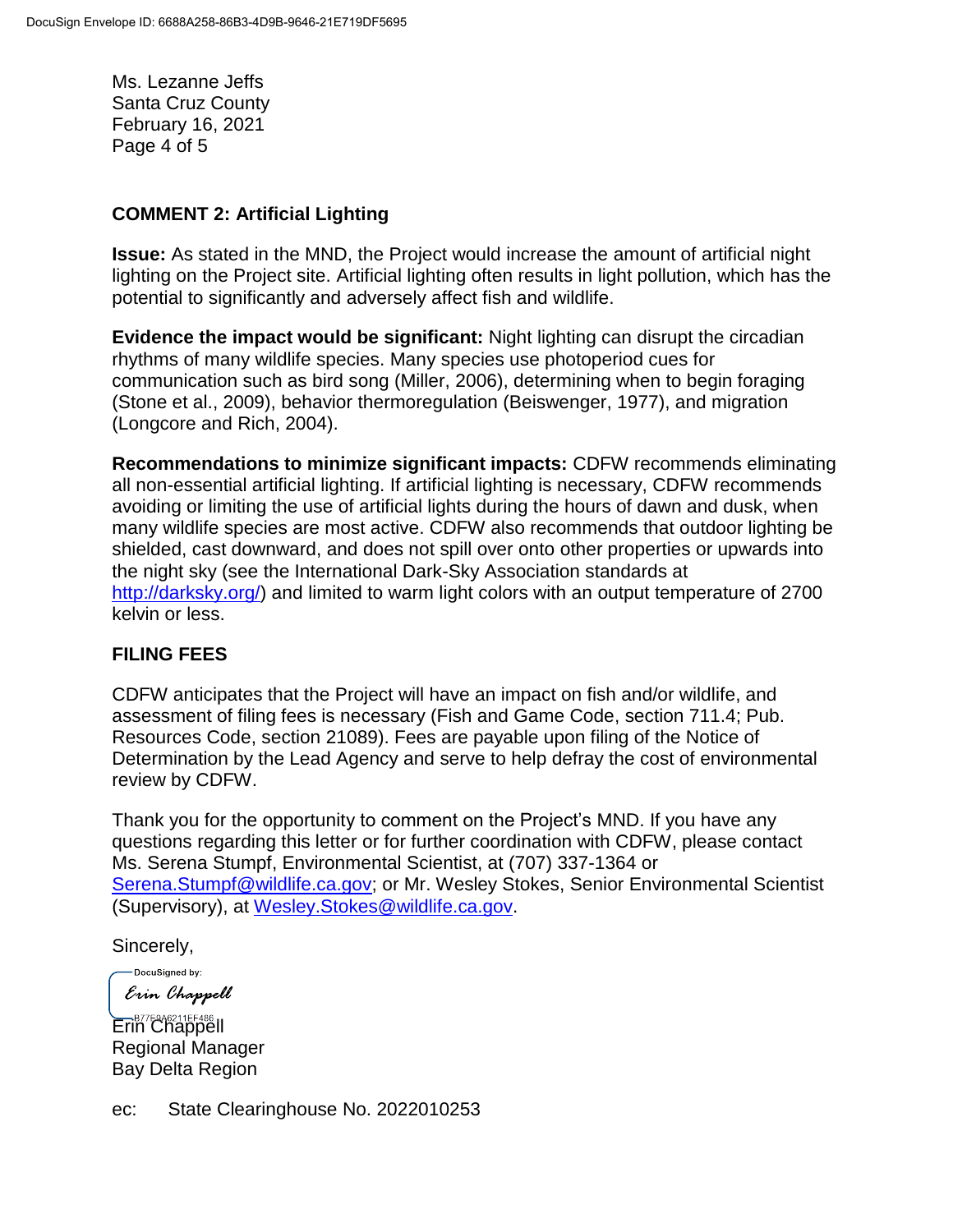Ms. Lezanne Jeffs Santa Cruz County February 16, 2021 Page 4 of 5

#### **COMMENT 2: Artificial Lighting**

**Issue:** As stated in the MND, the Project would increase the amount of artificial night lighting on the Project site. Artificial lighting often results in light pollution, which has the potential to significantly and adversely affect fish and wildlife.

**Evidence the impact would be significant:** Night lighting can disrupt the circadian rhythms of many wildlife species. Many species use photoperiod cues for communication such as bird song (Miller, 2006), determining when to begin foraging (Stone et al., 2009), behavior thermoregulation (Beiswenger, 1977), and migration (Longcore and Rich, 2004).

**Recommendations to minimize significant impacts:** CDFW recommends eliminating all non-essential artificial lighting. If artificial lighting is necessary, CDFW recommends avoiding or limiting the use of artificial lights during the hours of dawn and dusk, when many wildlife species are most active. CDFW also recommends that outdoor lighting be shielded, cast downward, and does not spill over onto other properties or upwards into the night sky (see the International Dark-Sky Association standards at [http://darksky.org/\)](http://darksky.org/) and limited to warm light colors with an output temperature of 2700 kelvin or less.

### **FILING FEES**

CDFW anticipates that the Project will have an impact on fish and/or wildlife, and assessment of filing fees is necessary (Fish and Game Code, section 711.4; Pub. Resources Code, section 21089). Fees are payable upon filing of the Notice of Determination by the Lead Agency and serve to help defray the cost of environmental review by CDFW.

Thank you for the opportunity to comment on the Project's MND. If you have any questions regarding this letter or for further coordination with CDFW, please contact Ms. Serena Stumpf, Environmental Scientist, at (707) 337-1364 or [Serena.Stumpf@wildlife.ca.gov;](mailto:Serena.Stumpf@wildlife.ca.gov) or Mr. Wesley Stokes, Senior Environmental Scientist (Supervisory), at [Wesley.Stokes@wildlife.ca.gov.](mailto:Wesley.Stokes@wildlife.ca.gov)

Sincerely,

-DocuSigned by: Erin Chappell

Erin Chappell Regional Manager Bay Delta Region

ec: State Clearinghouse No. 2022010253